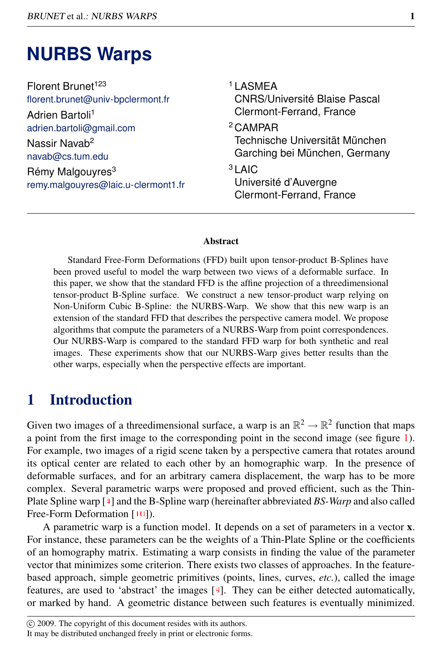# **NURBS Warps**

| Florent Brunet <sup>123</sup>                                                                                                                    | <sup>1</sup> LASMEA                                                                                                                                     |
|--------------------------------------------------------------------------------------------------------------------------------------------------|---------------------------------------------------------------------------------------------------------------------------------------------------------|
| florent.brunet@univ-bpclermont.fr                                                                                                                | <b>CNRS/Université Blaise Pascal</b>                                                                                                                    |
| Adrien Bartoli <sup>1</sup>                                                                                                                      | Clermont-Ferrand, France                                                                                                                                |
| adrien.bartoli@gmail.com<br>Nassir Navab <sup>2</sup><br>navab@cs.tum.edu<br>Rémy Malgouyres <sup>3</sup><br>remy.malgouyres@laic.u-clermont1.fr | <sup>2</sup> CAMPAR<br>Technische Universität München<br>Garching bei München, Germany<br>$3$ LAIC<br>Université d'Auvergne<br>Clermont-Ferrand, France |

#### Abstract

Standard Free-Form Deformations (FFD) built upon tensor-product B-Splines have been proved useful to model the warp between two views of a deformable surface. In this paper, we show that the standard FFD is the affine projection of a threedimensional tensor-product B-Spline surface. We construct a new tensor-product warp relying on Non-Uniform Cubic B-Spline: the NURBS-Warp. We show that this new warp is an extension of the standard FFD that describes the perspective camera model. We propose algorithms that compute the parameters of a NURBS-Warp from point correspondences. Our NURBS-Warp is compared to the standard FFD warp for both synthetic and real images. These experiments show that our NURBS-Warp gives better results than the other warps, especially when the perspective effects are important.

## 1 Introduction

Given two images of a threedimensional surface, a warp is an  $\mathbb{R}^2 \to \mathbb{R}^2$  function that maps a point from the first image to the corresponding point in the second image (see figure [1\)](#page-1-0). For example, two images of a rigid scene taken by a perspective camera that rotates around its optical center are related to each other by an homographic warp. In the presence of deformable surfaces, and for an arbitrary camera displacement, the warp has to be more complex. Several parametric warps were proposed and proved efficient, such as the Thin-Plate Spline warp [4] and the B-Spline warp (hereinafter abbreviated *BS-Warp* and also called Free-Form Deformation [10]).

A parametric warp is a function model. It depends on a set of parameters in a vector x. For instance, these parameters can be the weights of a Thin-Plate Spline or the coefficients of an homography matrix. Estimating a warp consists in finding the value of the parameter vector that minimizes some criterion. There exists two classes of approaches. In the featurebased approach, simple geometric primitives (points, lines, curves, *etc.*), called the image features, are used to 'abstract' the images  $[9]$ . They can be either detected automatically, or marked by hand. A geometric distance between such features is eventually minimized.

c 2009. The copyright of this document resides with its authors.

It may be distributed unchanged freely in print or electronic forms.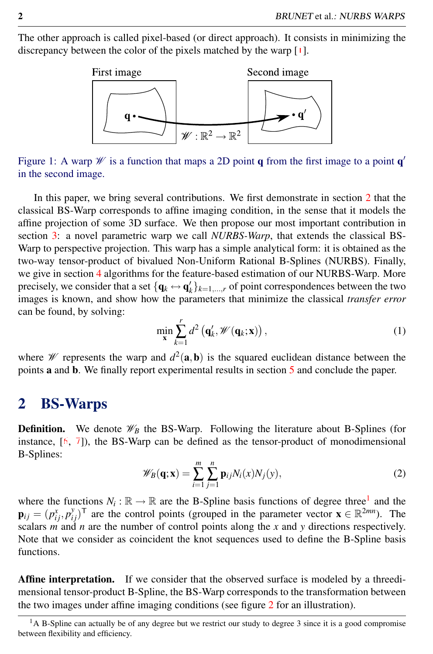The other approach is called pixel-based (or direct approach). It consists in minimizing the discrepancy between the color of the pixels matched by the warp [1].



<span id="page-1-0"></span>Figure 1: A warp  $\mathcal W$  is a function that maps a 2D point q from the first image to a point q' in the second image.

In this paper, we bring several contributions. We first demonstrate in section [2](#page-1-1) that the classical BS-Warp corresponds to affine imaging condition, in the sense that it models the affine projection of some 3D surface. We then propose our most important contribution in section [3:](#page-3-0) a novel parametric warp we call *NURBS-Warp*, that extends the classical BS-Warp to perspective projection. This warp has a simple analytical form: it is obtained as the two-way tensor-product of bivalued Non-Uniform Rational B-Splines (NURBS). Finally, we give in section [4](#page-4-0) algorithms for the feature-based estimation of our NURBS-Warp. More precisely, we consider that a set  $\{q_k \leftrightarrow q'_k\}_{k=1,\dots,r}$  of point correspondences between the two images is known, and show how the parameters that minimize the classical *transfer error* can be found, by solving:

$$
\min_{\mathbf{x}} \sum_{k=1}^{r} d^2 \left( \mathbf{q}'_k, \mathcal{W}(\mathbf{q}_k; \mathbf{x}) \right), \tag{1}
$$

where *W* represents the warp and  $d^2(\mathbf{a}, \mathbf{b})$  is the squared euclidean distance between the points a and b. We finally report experimental results in section [5](#page-6-0) and conclude the paper.

#### <span id="page-1-1"></span>2 BS-Warps

<span id="page-1-3"></span>**Definition.** We denote  $\mathcal{W}_B$  the BS-Warp. Following the literature about B-Splines (for instance,  $[6, 7]$ , the BS-Warp can be defined as the tensor-product of monodimensional B-Splines:

$$
\mathscr{W}_B(\mathbf{q}; \mathbf{x}) = \sum_{i=1}^m \sum_{j=1}^n \mathbf{p}_{ij} N_i(x) N_j(y), \qquad (2)
$$

where the functions  $N_i : \mathbb{R} \to \mathbb{R}$  are the B-Spline basis functions of degree three<sup>[1](#page-1-2)</sup> and the  $\mathbf{p}_{ij} = (p_{ij}^x, p_{ij}^y)^\mathsf{T}$  are the control points (grouped in the parameter vector  $\mathbf{x} \in \mathbb{R}^{2mn}$ ). The scalars  $\vec{m}$  and  $\vec{n}$  are the number of control points along the  $\vec{x}$  and  $\vec{y}$  directions respectively. Note that we consider as coincident the knot sequences used to define the B-Spline basis functions.

Affine interpretation. If we consider that the observed surface is modeled by a threedimensional tensor-product B-Spline, the BS-Warp corresponds to the transformation between the two images under affine imaging conditions (see figure [2](#page-2-0) for an illustration).

<span id="page-1-2"></span> $<sup>1</sup>A$  B-Spline can actually be of any degree but we restrict our study to degree 3 since it is a good compromise</sup> between flexibility and efficiency.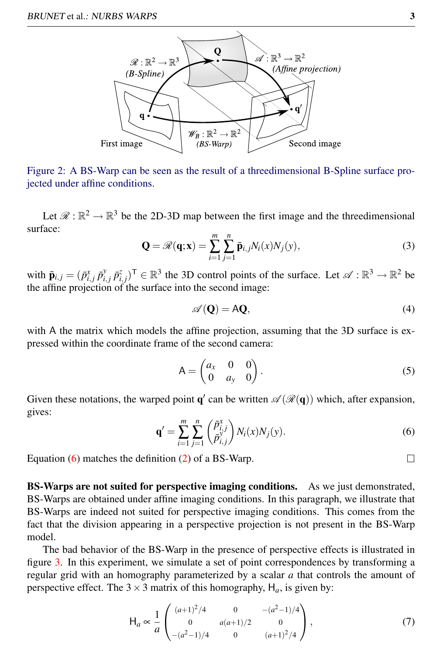

<span id="page-2-0"></span>Figure 2: A BS-Warp can be seen as the result of a threedimensional B-Spline surface projected under affine conditions.

<span id="page-2-2"></span>Let  $\mathcal{R}: \mathbb{R}^2 \to \mathbb{R}^3$  be the 2D-3D map between the first image and the threedimensional surface:

$$
\mathbf{Q} = \mathscr{R}(\mathbf{q}; \mathbf{x}) = \sum_{i=1}^{m} \sum_{j=1}^{n} \bar{\mathbf{p}}_{i,j} N_i(x) N_j(y), \qquad (3)
$$

with  $\bar{\mathbf{p}}_{i,j} = (\bar{p}_{i,j}^x \, \bar{p}_{i,j}^y \, \bar{p}_{i,j}^z)^\top \in \mathbb{R}^3$  the 3D control points of the surface. Let  $\mathscr{A} : \mathbb{R}^3 \to \mathbb{R}^2$  be the affine projection of the surface into the second image:

$$
\mathscr{A}(\mathbf{Q}) = \mathbf{A}\mathbf{Q},\tag{4}
$$

with A the matrix which models the affine projection, assuming that the 3D surface is expressed within the coordinate frame of the second camera:

$$
A = \begin{pmatrix} a_x & 0 & 0 \\ 0 & a_y & 0 \end{pmatrix}.
$$
 (5)

<span id="page-2-1"></span>Given these notations, the warped point  $q'$  can be written  $\mathscr{A}(\mathscr{R}(q))$  which, after expansion, gives:

$$
\mathbf{q}' = \sum_{i=1}^{m} \sum_{j=1}^{n} \left( \frac{\bar{p}_{i,j}^{x}}{\bar{p}_{i,j}^{x}} \right) N_i(x) N_j(y). \tag{6}
$$

Equation [\(6\)](#page-2-1) matches the definition [\(2\)](#page-1-3) of a BS-Warp.

BS-Warps are not suited for perspective imaging conditions. As we just demonstrated, BS-Warps are obtained under affine imaging conditions. In this paragraph, we illustrate that BS-Warps are indeed not suited for perspective imaging conditions. This comes from the fact that the division appearing in a perspective projection is not present in the BS-Warp model.

The bad behavior of the BS-Warp in the presence of perspective effects is illustrated in figure [3.](#page-3-1) In this experiment, we simulate a set of point correspondences by transforming a regular grid with an homography parameterized by a scalar *a* that controls the amount of perspective effect. The  $3 \times 3$  matrix of this homography,  $H_a$ , is given by:

$$
\mathsf{H}_a \propto \frac{1}{a} \begin{pmatrix} (a+1)^2/4 & 0 & -(a^2-1)/4 \\ 0 & a(a+1)/2 & 0 \\ -(a^2-1)/4 & 0 & (a+1)^2/4 \end{pmatrix},\tag{7}
$$

 $\Box$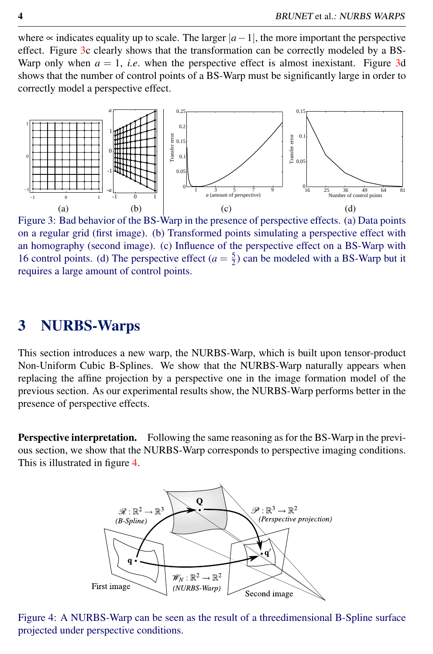where  $\infty$  indicates equality up to scale. The larger  $|a-1|$ , the more important the perspective effect. Figure [3c](#page-3-1) clearly shows that the transformation can be correctly modeled by a BS-Warp only when  $a = 1$ , *i.e.* when the perspective effect is almost inexistant. Figure [3d](#page-3-1) shows that the number of control points of a BS-Warp must be significantly large in order to correctly model a perspective effect.



<span id="page-3-1"></span>Figure 3: Bad behavior of the BS-Warp in the presence of perspective effects. (a) Data points on a regular grid (first image). (b) Transformed points simulating a perspective effect with an homography (second image). (c) Influence of the perspective effect on a BS-Warp with 16 control points. (d) The perspective effect  $(a = \frac{5}{2})$  can be modeled with a BS-Warp but it requires a large amount of control points.

### <span id="page-3-0"></span>3 NURBS-Warps

This section introduces a new warp, the NURBS-Warp, which is built upon tensor-product Non-Uniform Cubic B-Splines. We show that the NURBS-Warp naturally appears when replacing the affine projection by a perspective one in the image formation model of the previous section. As our experimental results show, the NURBS-Warp performs better in the presence of perspective effects.

Perspective interpretation. Following the same reasoning as for the BS-Warp in the previous section, we show that the NURBS-Warp corresponds to perspective imaging conditions. This is illustrated in figure [4.](#page-3-2)



<span id="page-3-2"></span>Figure 4: A NURBS-Warp can be seen as the result of a threedimensional B-Spline surface projected under perspective conditions.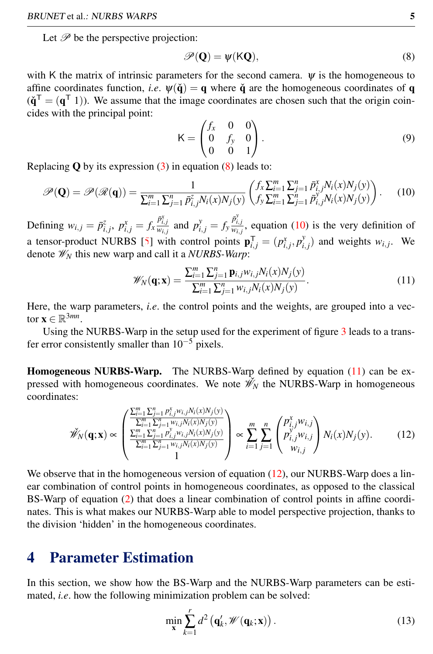Let  $\mathscr P$  be the perspective projection:

<span id="page-4-1"></span>
$$
\mathscr{P}(\mathbf{Q}) = \psi(\mathsf{K}\mathbf{Q}),\tag{8}
$$

with K the matrix of intrinsic parameters for the second camera.  $\psi$  is the homogeneous to affine coordinates function, *i.e.*  $\Psi(\check{q}) = q$  where  $\check{q}$  are the homogeneous coordinates of q  $(\check{\mathbf{q}}^{\mathsf{T}} = (\mathbf{q}^{\mathsf{T}} 1))$ . We assume that the image coordinates are chosen such that the origin coincides with the principal point:

<span id="page-4-2"></span>
$$
K = \begin{pmatrix} f_x & 0 & 0 \\ 0 & f_y & 0 \\ 0 & 0 & 1 \end{pmatrix}.
$$
 (9)

Replacing  $Q$  by its expression  $(3)$  in equation  $(8)$  leads to:

$$
\mathscr{P}(\mathbf{Q}) = \mathscr{P}(\mathscr{R}(\mathbf{q})) = \frac{1}{\sum_{i=1}^{m} \sum_{j=1}^{n} \bar{p}_{i,j}^{z} N_i(x) N_j(y)} \begin{pmatrix} f_x \sum_{i=1}^{m} \sum_{j=1}^{n} \bar{p}_{i,j}^{x} N_i(x) N_j(y) \\ f_y \sum_{i=1}^{m} \sum_{j=1}^{n} \bar{p}_{i,j}^{y} N_i(x) N_j(y) \end{pmatrix} . \tag{10}
$$

Defining  $w_{i,j} = \bar{p}_{i,j}^z$ ,  $p_{i,j}^x = f_x \frac{\bar{p}_{i,j}^x}{w_{i,j}}$  and  $p_{i,j}^y = f_y \frac{\bar{p}_{i,j}^y}{w_{i,j}}$ , equation [\(10\)](#page-4-2) is the very definition of a tensor-product NURBS [5] with control points  $\mathbf{p}_{i,j}^T = (p_{i,j}^x, p_{i,j}^y)$  and weights  $w_{i,j}$ . We denote W*<sup>N</sup>* this new warp and call it a *NURBS-Warp*:

<span id="page-4-3"></span>
$$
\mathscr{W}_{N}(\mathbf{q}; \mathbf{x}) = \frac{\sum_{i=1}^{m} \sum_{j=1}^{n} \mathbf{p}_{i,j} w_{i,j} N_i(x) N_j(y)}{\sum_{i=1}^{m} \sum_{j=1}^{n} w_{i,j} N_i(x) N_j(y)}.
$$
\n(11)

Here, the warp parameters, *i.e*. the control points and the weights, are grouped into a vector  $\mathbf{x} \in \mathbb{R}^{3mn}$ .

Using the NURBS-Warp in the setup used for the experiment of figure [3](#page-3-1) leads to a transfer error consistently smaller than  $10^{-5}$  pixels.

Homogeneous NURBS-Warp. The NURBS-Warp defined by equation [\(11\)](#page-4-3) can be expressed with homogeneous coordinates. We note  $\mathcal{W}_N$  the NURBS-Warp in homogeneous coordinates:

<span id="page-4-4"></span>
$$
\mathscr{W}_{N}(\mathbf{q}; \mathbf{x}) \propto \begin{pmatrix} \frac{\sum_{i=1}^{m} \sum_{j=1}^{n} p_{i,j}^{x} w_{i,j} N_{i}(x) N_{j}(y)}{\sum_{i=1}^{m} \sum_{j=1}^{n} w_{i,j} N_{i}(x) N_{j}(y)} \\ \frac{\sum_{i=1}^{m} \sum_{j=1}^{n} p_{i,j}^{y} w_{i,j} N_{i}(x) N_{j}(y)}{\sum_{i=1}^{m} \sum_{j=1}^{n} w_{i,j} N_{i}(x) N_{j}(y)} \end{pmatrix} \propto \sum_{i=1}^{m} \sum_{j=1}^{n} \begin{pmatrix} p_{i,j}^{x} w_{i,j} \\ p_{i,j}^{y} w_{i,j} \\ w_{i,j} \end{pmatrix} N_{i}(x) N_{j}(y). \tag{12}
$$

We observe that in the homogeneous version of equation  $(12)$ , our NURBS-Warp does a linear combination of control points in homogeneous coordinates, as opposed to the classical BS-Warp of equation [\(2\)](#page-1-3) that does a linear combination of control points in affine coordinates. This is what makes our NURBS-Warp able to model perspective projection, thanks to the division 'hidden' in the homogeneous coordinates.

## <span id="page-4-0"></span>4 Parameter Estimation

In this section, we show how the BS-Warp and the NURBS-Warp parameters can be estimated, *i.e*. how the following minimization problem can be solved:

<span id="page-4-5"></span>
$$
\min_{\mathbf{x}} \sum_{k=1}^{r} d^2 \left( \mathbf{q}'_k, \mathcal{W}(\mathbf{q}_k; \mathbf{x}) \right). \tag{13}
$$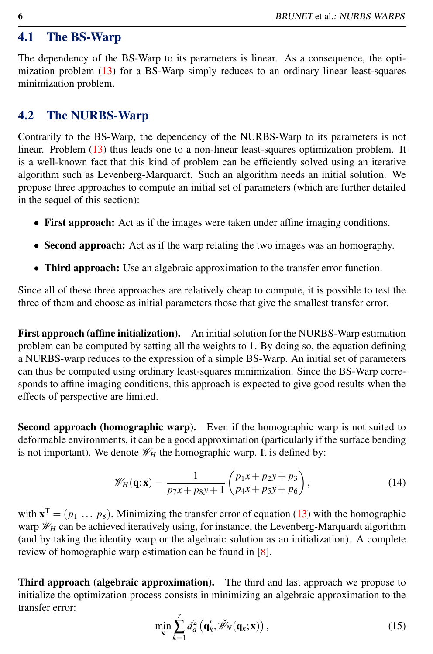#### 4.1 The BS-Warp

The dependency of the BS-Warp to its parameters is linear. As a consequence, the optimization problem [\(13\)](#page-4-5) for a BS-Warp simply reduces to an ordinary linear least-squares minimization problem.

#### 4.2 The NURBS-Warp

Contrarily to the BS-Warp, the dependency of the NURBS-Warp to its parameters is not linear. Problem [\(13\)](#page-4-5) thus leads one to a non-linear least-squares optimization problem. It is a well-known fact that this kind of problem can be efficiently solved using an iterative algorithm such as Levenberg-Marquardt. Such an algorithm needs an initial solution. We propose three approaches to compute an initial set of parameters (which are further detailed in the sequel of this section):

- First approach: Act as if the images were taken under affine imaging conditions.
- Second approach: Act as if the warp relating the two images was an homography.
- Third approach: Use an algebraic approximation to the transfer error function.

Since all of these three approaches are relatively cheap to compute, it is possible to test the three of them and choose as initial parameters those that give the smallest transfer error.

First approach (affine initialization). An initial solution for the NURBS-Warp estimation problem can be computed by setting all the weights to 1. By doing so, the equation defining a NURBS-warp reduces to the expression of a simple BS-Warp. An initial set of parameters can thus be computed using ordinary least-squares minimization. Since the BS-Warp corresponds to affine imaging conditions, this approach is expected to give good results when the effects of perspective are limited.

Second approach (homographic warp). Even if the homographic warp is not suited to deformable environments, it can be a good approximation (particularly if the surface bending is not important). We denote  $\mathcal{W}_H$  the homographic warp. It is defined by:

$$
\mathscr{W}_H(\mathbf{q}; \mathbf{x}) = \frac{1}{p_7 x + p_8 y + 1} \begin{pmatrix} p_1 x + p_2 y + p_3 \\ p_4 x + p_5 y + p_6 \end{pmatrix},
$$
(14)

with  $\mathbf{x}^T = (p_1 \dots p_8)$ . Minimizing the transfer error of equation [\(13\)](#page-4-5) with the homographic warp  $\mathcal{W}_H$  can be achieved iteratively using, for instance, the Levenberg-Marquardt algorithm (and by taking the identity warp or the algebraic solution as an initialization). A complete review of homographic warp estimation can be found in [8].

<span id="page-5-0"></span>Third approach (algebraic approximation). The third and last approach we propose to initialize the optimization process consists in minimizing an algebraic approximation to the transfer error:

$$
\min_{\mathbf{x}} \sum_{k=1}^{r} d_a^2 \left( \mathbf{q}'_k, \mathcal{W}_N(\mathbf{q}_k; \mathbf{x}) \right), \tag{15}
$$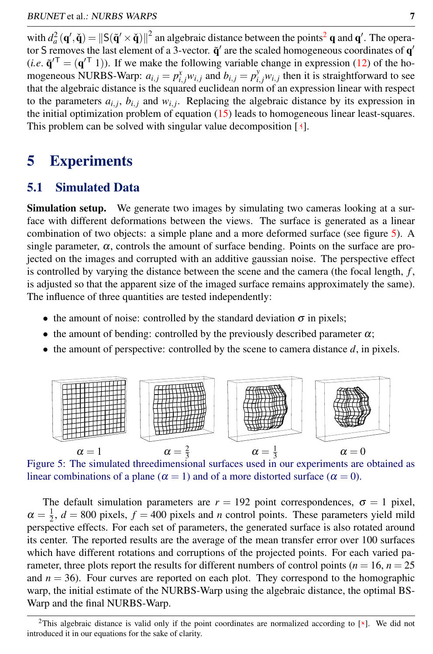with  $d_a^2(\mathbf{q}', \check{\mathbf{q}}) = ||S(\tilde{\mathbf{q}}' \times \check{\mathbf{q}})||^2$  $d_a^2(\mathbf{q}', \check{\mathbf{q}}) = ||S(\tilde{\mathbf{q}}' \times \check{\mathbf{q}})||^2$  $d_a^2(\mathbf{q}', \check{\mathbf{q}}) = ||S(\tilde{\mathbf{q}}' \times \check{\mathbf{q}})||^2$  an algebraic distance between the points<sup>2</sup> q and  $\mathbf{q}'$ . The operator S removes the last element of a 3-vector.  $\tilde{q}'$  are the scaled homogeneous coordinates of  $q'$  $(i.e. \tilde{\mathbf{q}}^{\prime\top} = (\mathbf{q}^{\prime\top} 1)$ . If we make the following variable change in expression [\(12\)](#page-4-4) of the homogeneous NURBS-Warp:  $a_{i,j} = p_{i,j}^x w_{i,j}$  and  $b_{i,j} = p_{i,j}^y w_{i,j}$  then it is straightforward to see that the algebraic distance is the squared euclidean norm of an expression linear with respect to the parameters  $a_{i,j}$ ,  $b_{i,j}$  and  $w_{i,j}$ . Replacing the algebraic distance by its expression in the initial optimization problem of equation [\(15\)](#page-5-0) leads to homogeneous linear least-squares. This problem can be solved with singular value decomposition [3].

## <span id="page-6-0"></span>5 Experiments

#### 5.1 Simulated Data

Simulation setup. We generate two images by simulating two cameras looking at a surface with different deformations between the views. The surface is generated as a linear combination of two objects: a simple plane and a more deformed surface (see figure [5\)](#page-6-2). A single parameter,  $\alpha$ , controls the amount of surface bending. Points on the surface are projected on the images and corrupted with an additive gaussian noise. The perspective effect is controlled by varying the distance between the scene and the camera (the focal length, *f* , is adjusted so that the apparent size of the imaged surface remains approximately the same). The influence of three quantities are tested independently:

- the amount of noise: controlled by the standard deviation  $\sigma$  in pixels;
- the amount of bending: controlled by the previously described parameter  $\alpha$ ;
- $\bullet$  the amount of perspective: controlled by the scene to camera distance  $d$ , in pixels.



<span id="page-6-2"></span>Figure 5: The simulated threedimensional surfaces used in our experiments are obtained as linear combinations of a plane ( $\alpha = 1$ ) and of a more distorted surface ( $\alpha = 0$ ).

The default simulation parameters are  $r = 192$  point correspondences,  $\sigma = 1$  pixel,  $\alpha = \frac{1}{2}$ ,  $d = 800$  pixels,  $f = 400$  pixels and *n* control points. These parameters yield mild perspective effects. For each set of parameters, the generated surface is also rotated around its center. The reported results are the average of the mean transfer error over 100 surfaces which have different rotations and corruptions of the projected points. For each varied parameter, three plots report the results for different numbers of control points ( $n = 16$ ,  $n = 25$ ) and  $n = 36$ ). Four curves are reported on each plot. They correspond to the homographic warp, the initial estimate of the NURBS-Warp using the algebraic distance, the optimal BS-Warp and the final NURBS-Warp.

<span id="page-6-1"></span><sup>&</sup>lt;sup>2</sup>This algebraic distance is valid only if the point coordinates are normalized according to  $[\frac{8}{3}]$ . We did not introduced it in our equations for the sake of clarity.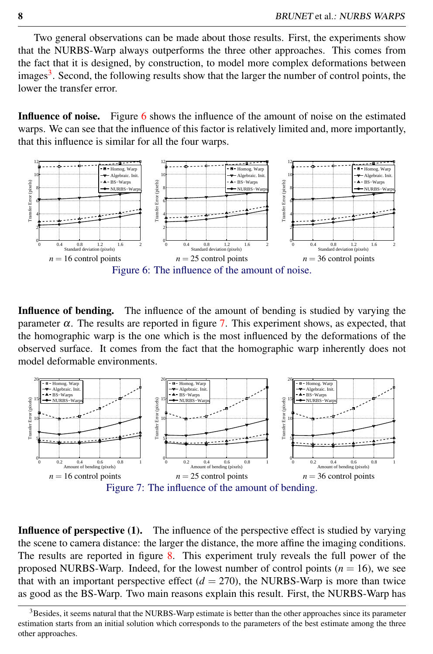Two general observations can be made about those results. First, the experiments show that the NURBS-Warp always outperforms the three other approaches. This comes from the fact that it is designed, by construction, to model more complex deformations between images<sup>[3](#page-7-0)</sup>. Second, the following results show that the larger the number of control points, the lower the transfer error.

Influence of noise. Figure [6](#page-7-1) shows the influence of the amount of noise on the estimated warps. We can see that the influence of this factor is relatively limited and, more importantly, that this influence is similar for all the four warps.



<span id="page-7-1"></span>Influence of bending. The influence of the amount of bending is studied by varying the parameter  $\alpha$ . The results are reported in figure [7.](#page-7-2) This experiment shows, as expected, that the homographic warp is the one which is the most influenced by the deformations of the observed surface. It comes from the fact that the homographic warp inherently does not model deformable environments.



<span id="page-7-2"></span>Influence of perspective (1). The influence of the perspective effect is studied by varying the scene to camera distance: the larger the distance, the more affine the imaging conditions. The results are reported in figure [8.](#page-8-0) This experiment truly reveals the full power of the proposed NURBS-Warp. Indeed, for the lowest number of control points  $(n = 16)$ , we see that with an important perspective effect  $(d = 270)$ , the NURBS-Warp is more than twice as good as the BS-Warp. Two main reasons explain this result. First, the NURBS-Warp has

<span id="page-7-0"></span><sup>&</sup>lt;sup>3</sup>Besides, it seems natural that the NURBS-Warp estimate is better than the other approaches since its parameter estimation starts from an initial solution which corresponds to the parameters of the best estimate among the three other approaches.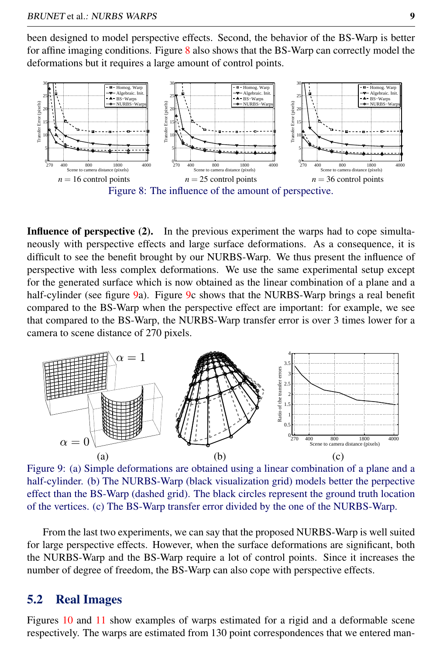been designed to model perspective effects. Second, the behavior of the BS-Warp is better for affine imaging conditions. Figure [8](#page-8-0) also shows that the BS-Warp can correctly model the deformations but it requires a large amount of control points.



<span id="page-8-0"></span>Influence of perspective (2). In the previous experiment the warps had to cope simultaneously with perspective effects and large surface deformations. As a consequence, it is difficult to see the benefit brought by our NURBS-Warp. We thus present the influence of perspective with less complex deformations. We use the same experimental setup except for the generated surface which is now obtained as the linear combination of a plane and a half-cylinder (see figure [9a](#page-8-1)). Figure [9c](#page-8-1) shows that the NURBS-Warp brings a real benefit compared to the BS-Warp when the perspective effect are important: for example, we see that compared to the BS-Warp, the NURBS-Warp transfer error is over 3 times lower for a camera to scene distance of 270 pixels.



<span id="page-8-1"></span>Figure 9: (a) Simple deformations are obtained using a linear combination of a plane and a half-cylinder. (b) The NURBS-Warp (black visualization grid) models better the perpective effect than the BS-Warp (dashed grid). The black circles represent the ground truth location of the vertices. (c) The BS-Warp transfer error divided by the one of the NURBS-Warp.

From the last two experiments, we can say that the proposed NURBS-Warp is well suited for large perspective effects. However, when the surface deformations are significant, both the NURBS-Warp and the BS-Warp require a lot of control points. Since it increases the number of degree of freedom, the BS-Warp can also cope with perspective effects.

#### 5.2 Real Images

Figures [10](#page-9-0) and [11](#page-9-1) show examples of warps estimated for a rigid and a deformable scene respectively. The warps are estimated from 130 point correspondences that we entered man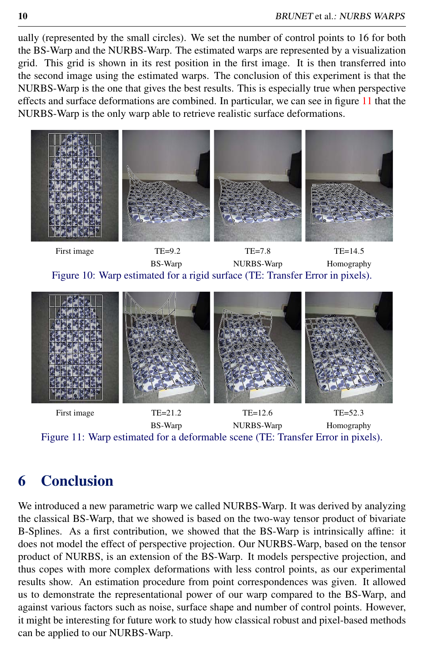ually (represented by the small circles). We set the number of control points to 16 for both the BS-Warp and the NURBS-Warp. The estimated warps are represented by a visualization grid. This grid is shown in its rest position in the first image. It is then transferred into the second image using the estimated warps. The conclusion of this experiment is that the NURBS-Warp is the one that gives the best results. This is especially true when perspective effects and surface deformations are combined. In particular, we can see in figure [11](#page-9-1) that the NURBS-Warp is the only warp able to retrieve realistic surface deformations.

<span id="page-9-0"></span>

First image TE=21.2 TE=12.6 TE=52.3 BS-Warp NURBS-Warp Homography Figure 11: Warp estimated for a deformable scene (TE: Transfer Error in pixels).

## <span id="page-9-1"></span>6 Conclusion

We introduced a new parametric warp we called NURBS-Warp. It was derived by analyzing the classical BS-Warp, that we showed is based on the two-way tensor product of bivariate B-Splines. As a first contribution, we showed that the BS-Warp is intrinsically affine: it does not model the effect of perspective projection. Our NURBS-Warp, based on the tensor product of NURBS, is an extension of the BS-Warp. It models perspective projection, and thus copes with more complex deformations with less control points, as our experimental results show. An estimation procedure from point correspondences was given. It allowed us to demonstrate the representational power of our warp compared to the BS-Warp, and against various factors such as noise, surface shape and number of control points. However, it might be interesting for future work to study how classical robust and pixel-based methods can be applied to our NURBS-Warp.